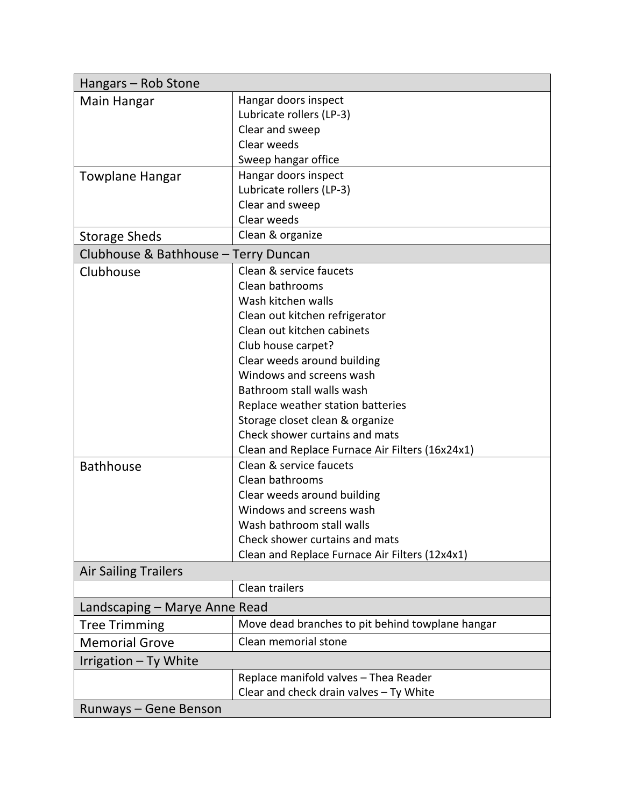| Hangars - Rob Stone                  |                                                  |  |
|--------------------------------------|--------------------------------------------------|--|
| Main Hangar                          | Hangar doors inspect                             |  |
|                                      | Lubricate rollers (LP-3)                         |  |
|                                      | Clear and sweep                                  |  |
|                                      | Clear weeds                                      |  |
|                                      | Sweep hangar office                              |  |
| <b>Towplane Hangar</b>               | Hangar doors inspect                             |  |
|                                      | Lubricate rollers (LP-3)                         |  |
|                                      | Clear and sweep                                  |  |
|                                      | Clear weeds                                      |  |
| <b>Storage Sheds</b>                 | Clean & organize                                 |  |
| Clubhouse & Bathhouse - Terry Duncan |                                                  |  |
| Clubhouse                            | Clean & service faucets                          |  |
|                                      | Clean bathrooms                                  |  |
|                                      | Wash kitchen walls                               |  |
|                                      | Clean out kitchen refrigerator                   |  |
|                                      | Clean out kitchen cabinets                       |  |
|                                      | Club house carpet?                               |  |
|                                      | Clear weeds around building                      |  |
|                                      | Windows and screens wash                         |  |
|                                      | Bathroom stall walls wash                        |  |
|                                      | Replace weather station batteries                |  |
|                                      | Storage closet clean & organize                  |  |
|                                      | Check shower curtains and mats                   |  |
|                                      | Clean and Replace Furnace Air Filters (16x24x1)  |  |
| <b>Bathhouse</b>                     | Clean & service faucets                          |  |
|                                      | Clean bathrooms                                  |  |
|                                      | Clear weeds around building                      |  |
|                                      | Windows and screens wash                         |  |
|                                      | Wash bathroom stall walls                        |  |
|                                      | Check shower curtains and mats                   |  |
|                                      | Clean and Replace Furnace Air Filters (12x4x1)   |  |
| <b>Air Sailing Trailers</b>          |                                                  |  |
|                                      | Clean trailers                                   |  |
| Landscaping – Marye Anne Read        |                                                  |  |
| <b>Tree Trimming</b>                 | Move dead branches to pit behind towplane hangar |  |
| <b>Memorial Grove</b>                | Clean memorial stone                             |  |
| Irrigation - Ty White                |                                                  |  |
|                                      | Replace manifold valves - Thea Reader            |  |
|                                      | Clear and check drain valves - Ty White          |  |
| Runways - Gene Benson                |                                                  |  |